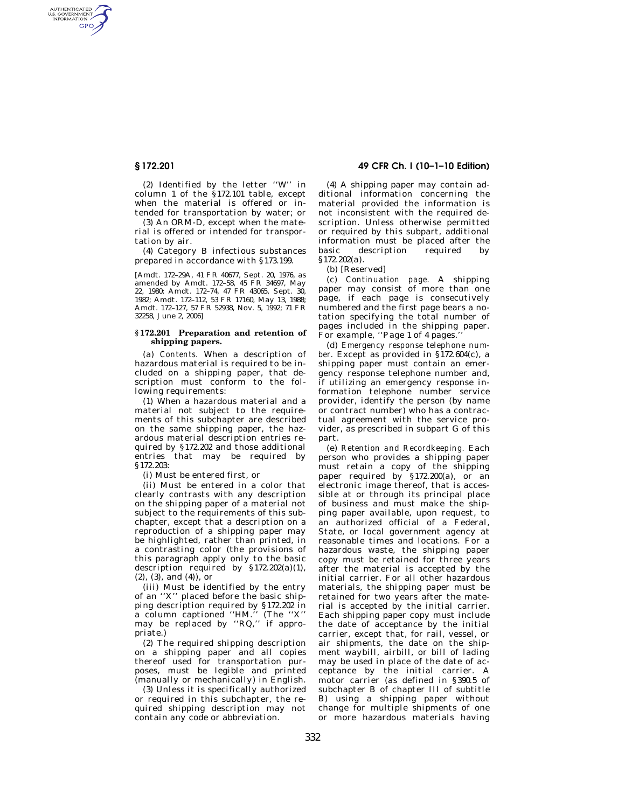AUTHENTICATED<br>U.S. GOVERNMENT<br>INFORMATION GPO

> (2) Identified by the letter ''W'' in column 1 of the §172.101 table, except when the material is offered or intended for transportation by water; or

> (3) An ORM-D, except when the material is offered or intended for transportation by air.

> (4) Category B infectious substances prepared in accordance with §173.199.

> [Amdt. 172–29A, 41 FR 40677, Sept. 20, 1976, as amended by Amdt. 172–58, 45 FR 34697, May 22, 1980; Amdt. 172–74, 47 FR 43065, Sept. 30, 1982; Amdt. 172–112, 53 FR 17160, May 13, 1988; Amdt. 172–127, 57 FR 52938, Nov. 5, 1992; 71 FR 32258, June 2, 2006]

## **§ 172.201 Preparation and retention of shipping papers.**

(a) *Contents.* When a description of hazardous material is required to be included on a shipping paper, that description must conform to the following requirements:

(1) When a hazardous material and a material not subject to the requirements of this subchapter are described on the same shipping paper, the hazardous material description entries required by §172.202 and those additional entries that may be required by §172.203:

(i) Must be entered first, or

(ii) Must be entered in a color that clearly contrasts with any description on the shipping paper of a material not subject to the requirements of this subchapter, except that a description on a reproduction of a shipping paper may be highlighted, rather than printed, in a contrasting color (the provisions of this paragraph apply only to the basic description required by §172.202(a)(1), (2), (3), and (4)), or

(iii) Must be identified by the entry of an ''X'' placed before the basic shipping description required by §172.202 in a column captioned ''HM.'' (The ''X'' may be replaced by ''RQ,'' if appropriate.)

(2) The required shipping description on a shipping paper and all copies thereof used for transportation purposes, must be legible and printed (manually or mechanically) in English.

(3) Unless it is specifically authorized or required in this subchapter, the required shipping description may not contain any code or abbreviation.

**§ 172.201 49 CFR Ch. I (10–1–10 Edition)** 

(4) A shipping paper may contain additional information concerning the material provided the information is not inconsistent with the required description. Unless otherwise permitted or required by this subpart, additional information must be placed after the basic description required by §172.202(a).

(b) [Reserved]

(c) *Continuation page.* A shipping paper may consist of more than one page, if each page is consecutively numbered and the first page bears a notation specifying the total number of pages included in the shipping paper. For example, "Page 1 of 4 pages.

(d) *Emergency response telephone number.* Except as provided in §172.604(c), a shipping paper must contain an emergency response telephone number and, if utilizing an emergency response information telephone number service provider, identify the person (by name or contract number) who has a contractual agreement with the service provider, as prescribed in subpart G of this part.

(e) *Retention and Recordkeeping.* Each person who provides a shipping paper must retain a copy of the shipping paper required by §172.200(a), or an electronic image thereof, that is accessible at or through its principal place of business and must make the shipping paper available, upon request, to an authorized official of a Federal, State, or local government agency at reasonable times and locations. For a hazardous waste, the shipping paper copy must be retained for three years after the material is accepted by the initial carrier. For all other hazardous materials, the shipping paper must be retained for two years after the material is accepted by the initial carrier. Each shipping paper copy must include the date of acceptance by the initial carrier, except that, for rail, vessel, or air shipments, the date on the shipment waybill, airbill, or bill of lading may be used in place of the date of acceptance by the initial carrier. A motor carrier (as defined in §390.5 of subchapter B of chapter III of subtitle B) using a shipping paper without change for multiple shipments of one or more hazardous materials having